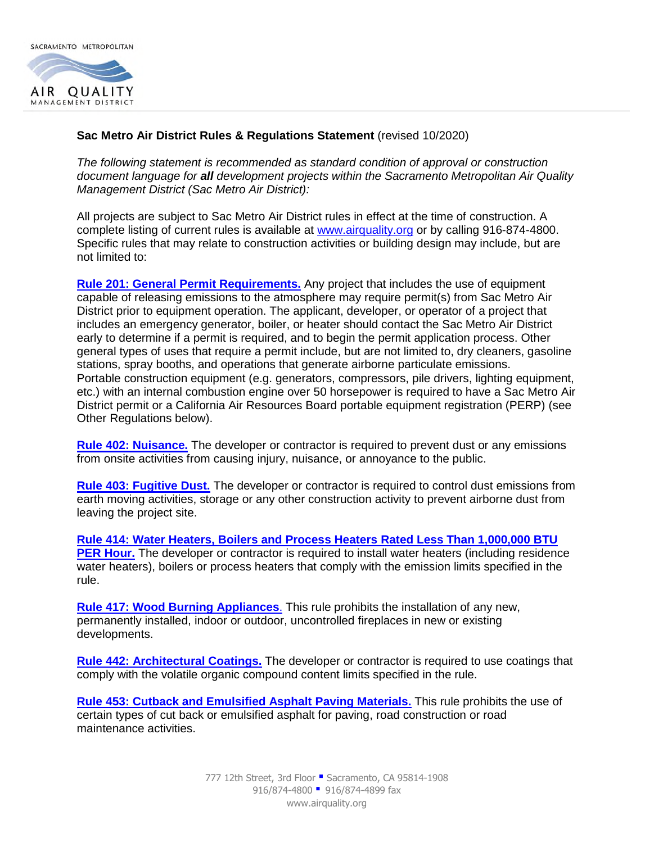

## **Sac Metro Air District Rules & Regulations Statement** (revised 10/2020)

*The following statement is recommended as standard condition of approval or construction document language for all development projects within the Sacramento Metropolitan Air Quality Management District (Sac Metro Air District):* 

All projects are subject to Sac Metro Air District rules in effect at the time of construction. A complete listing of current rules is available at [www.airquality.org](http://www.airquality.org/) or by calling 916-874-4800. Specific rules that may relate to construction activities or building design may include, but are not limited to:

**[Rule 201: General Permit Requirements.](http://www.airquality.org/ProgramCoordination/Documents/rule201.pdf)** Any project that includes the use of equipment capable of releasing emissions to the atmosphere may require permit(s) from Sac Metro Air District prior to equipment operation. The applicant, developer, or operator of a project that includes an emergency generator, boiler, or heater should contact the Sac Metro Air District early to determine if a permit is required, and to begin the permit application process. Other general types of uses that require a permit include, but are not limited to, dry cleaners, gasoline stations, spray booths, and operations that generate airborne particulate emissions. Portable construction equipment (e.g. generators, compressors, pile drivers, lighting equipment, etc.) with an internal combustion engine over 50 horsepower is required to have a Sac Metro Air District permit or a California Air Resources Board portable equipment registration (PERP) (see Other Regulations below).

**[Rule 402: Nuisance.](http://www.airquality.org/ProgramCoordination/Documents/rule402.pdf)** The developer or contractor is required to prevent dust or any emissions from onsite activities from causing injury, nuisance, or annoyance to the public.

**[Rule 403: Fugitive Dust.](http://www.airquality.org/ProgramCoordination/Documents/rule403.pdf)** The developer or contractor is required to control dust emissions from earth moving activities, storage or any other construction activity to prevent airborne dust from leaving the project site.

**[Rule 414: Water Heaters, Boilers and Process Heaters Rated Less Than 1,000,000 BTU](http://www.airquality.org/ProgramCoordination/Documents/rule414.pdf)  [PER Hour.](http://www.airquality.org/ProgramCoordination/Documents/rule414.pdf)** The developer or contractor is required to install water heaters (including residence water heaters), boilers or process heaters that comply with the emission limits specified in the rule.

**[Rule 417: Wood Burning Appliances](http://www.airquality.org/ProgramCoordination/Documents/rule417.pdf)**. This rule prohibits the installation of any new, permanently installed, indoor or outdoor, uncontrolled fireplaces in new or existing developments.

**[Rule 442: Architectural Coatings.](http://www.airquality.org/ProgramCoordination/Documents/rule442.pdf)** The developer or contractor is required to use coatings that comply with the volatile organic compound content limits specified in the rule.

**[Rule 453: Cutback and Emulsified Asphalt Paving Materials.](http://www.airquality.org/ProgramCoordination/Documents/rule453.pdf)** This rule prohibits the use of certain types of cut back or emulsified asphalt for paving, road construction or road maintenance activities.